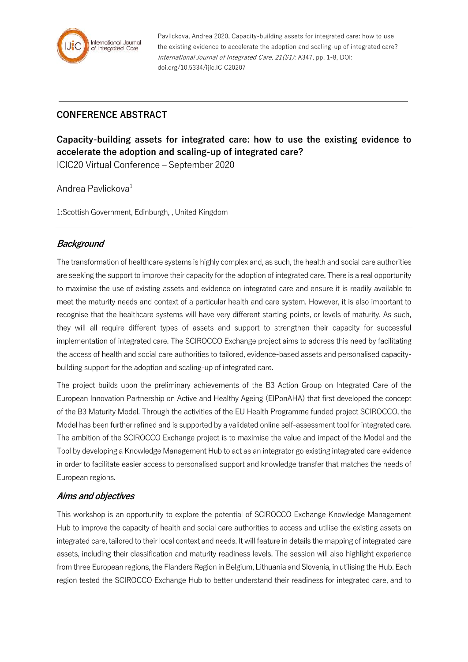

Pavlickova, Andrea 2020, Capacity-building assets for integrated care: how to use the existing evidence to accelerate the adoption and scaling-up of integrated care? International Journal of Integrated Care, 21(S1): A347, pp. 1-8, DOI: doi.org/10.5334/ijic.ICIC20207

## **CONFERENCE ABSTRACT**

# **Capacity-building assets for integrated care: how to use the existing evidence to accelerate the adoption and scaling-up of integrated care?**

ICIC20 Virtual Conference – September 2020

Andrea Pavlickova<sup>1</sup>

1:Scottish Government, Edinburgh, , United Kingdom

#### **Background**

The transformation of healthcare systems is highly complex and, as such, the health and social care authorities are seeking the support to improve their capacity for the adoption of integrated care. There is a real opportunity to maximise the use of existing assets and evidence on integrated care and ensure it is readily available to meet the maturity needs and context of a particular health and care system. However, it is also important to recognise that the healthcare systems will have very different starting points, or levels of maturity. As such, they will all require different types of assets and support to strengthen their capacity for successful implementation of integrated care. The SCIROCCO Exchange project aims to address this need by facilitating the access of health and social care authorities to tailored, evidence-based assets and personalised capacitybuilding support for the adoption and scaling-up of integrated care.

The project builds upon the preliminary achievements of the B3 Action Group on Integrated Care of the European Innovation Partnership on Active and Healthy Ageing (EIPonAHA) that first developed the concept of the B3 Maturity Model. Through the activities of the EU Health Programme funded project SCIROCCO, the Model has been further refined and is supported by a validated online self-assessment tool for integrated care. The ambition of the SCIROCCO Exchange project is to maximise the value and impact of the Model and the Tool by developing a Knowledge Management Hub to act as an integrator go existing integrated care evidence in order to facilitate easier access to personalised support and knowledge transfer that matches the needs of European regions.

#### **Aims and objectives**

This workshop is an opportunity to explore the potential of SCIROCCO Exchange Knowledge Management Hub to improve the capacity of health and social care authorities to access and utilise the existing assets on integrated care, tailored to their local context and needs. It will feature in details the mapping of integrated care assets, including their classification and maturity readiness levels. The session will also highlight experience from three European regions, the Flanders Region in Belgium, Lithuania and Slovenia, in utilising the Hub. Each region tested the SCIROCCO Exchange Hub to better understand their readiness for integrated care, and to